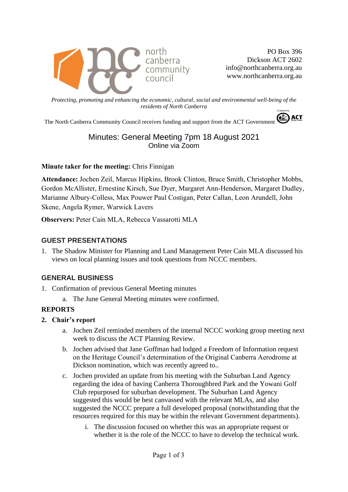

PO Box 396 Dickson ACT 2602 info@northcanberra.org.au www.northcanberra.org.au

*Protecting, promoting and enhancing the economic, cultural, social and environmental well-being of the residents of North Canberra*

The North Canberra Community Council receives funding and support from the ACT Government

# Minutes: General Meeting 7pm 18 August 2021 Online via Zoom

#### **Minute taker for the meeting:** Chris Finnigan

**Attendance:** Jochen Zeil, Marcus Hipkins, Brook Clinton, Bruce Smith, Christopher Mobbs, Gordon McAllister, Ernestine Kirsch, Sue Dyer, Margaret Ann-Henderson, Margaret Dudley, Marianne Albury-Colless, Max Pouwer Paul Costigan, Peter Callan, Leon Arundell, John Skene, Angela Rymer, Warwick Lavers

**Observers:** Peter Cain MLA, Rebecca Vassarotti MLA

# **GUEST PRESENTATIONS**

1. The Shadow Minister for Planning and Land Management Peter Cain MLA discussed his views on local planning issues and took questions from NCCC members.

# **GENERAL BUSINESS**

- 1. Confirmation of previous General Meeting minutes
	- a. The June General Meeting minutes were confirmed.

#### **REPORTS**

- **2. Chair's report**
	- a. Jochen Zeil reminded members of the internal NCCC working group meeting next week to discuss the ACT Planning Review.
	- b. Jochen advised that Jane Goffman had lodged a Freedom of Information request on the Heritage Council's determination of the Original Canberra Aerodrome at Dickson nomination, which was recently agreed to..
	- c. Jochen provided an update from his meeting with the Suburban Land Agency regarding the idea of having Canberra Thoroughbred Park and the Yowani Golf Club repurposed for suburban development. The Suburban Land Agency suggested this would be best canvassed with the relevant MLAs, and also suggested the NCCC prepare a full developed proposal (notwithstanding that the resources required for this may be within the relevant Government departments).
		- i. The discussion focused on whether this was an appropriate request or whether it is the role of the NCCC to have to develop the technical work.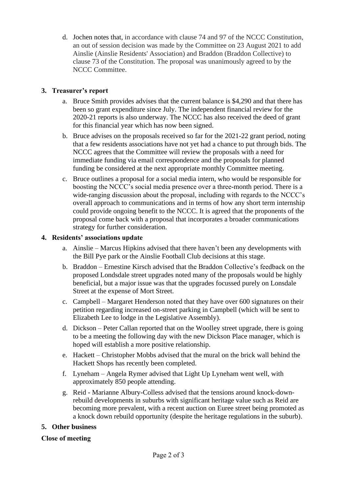d. Jochen notes that, in accordance with clause 74 and 97 of the NCCC Constitution, an out of session decision was made by the Committee on 23 August 2021 to add Ainslie (Ainslie Residents' Association) and Braddon (Braddon Collective) to clause 73 of the Constitution. The proposal was unanimously agreed to by the NCCC Committee.

# **3. Treasurer's report**

- a. Bruce Smith provides advises that the current balance is \$4,290 and that there has been so grant expenditure since July. The independent financial review for the 2020-21 reports is also underway. The NCCC has also received the deed of grant for this financial year which has now been signed.
- b. Bruce advises on the proposals received so far for the 2021-22 grant period, noting that a few residents associations have not yet had a chance to put through bids. The NCCC agrees that the Committee will review the proposals with a need for immediate funding via email correspondence and the proposals for planned funding be considered at the next appropriate monthly Committee meeting.
- c. Bruce outlines a proposal for a social media intern, who would be responsible for boosting the NCCC's social media presence over a three-month period. There is a wide-ranging discussion about the proposal, including with regards to the NCCC's overall approach to communications and in terms of how any short term internship could provide ongoing benefit to the NCCC. It is agreed that the proponents of the proposal come back with a proposal that incorporates a broader communications strategy for further consideration.

# **4. Residents' associations update**

- a. Ainslie Marcus Hipkins advised that there haven't been any developments with the Bill Pye park or the Ainslie Football Club decisions at this stage.
- b. Braddon Ernestine Kirsch advised that the Braddon Collective's feedback on the proposed Londsdale street upgrades noted many of the proposals would be highly beneficial, but a major issue was that the upgrades focussed purely on Lonsdale Street at the expense of Mort Street.
- c. Campbell Margaret Henderson noted that they have over 600 signatures on their petition regarding increased on-street parking in Campbell (which will be sent to Elizabeth Lee to lodge in the Legislative Assembly).
- d. Dickson Peter Callan reported that on the Woolley street upgrade, there is going to be a meeting the following day with the new Dickson Place manager, which is hoped will establish a more positive relationship.
- e. Hackett Christopher Mobbs advised that the mural on the brick wall behind the Hackett Shops has recently been completed.
- f. Lyneham Angela Rymer advised that Light Up Lyneham went well, with approximately 850 people attending.
- g. Reid Marianne Albury-Colless advised that the tensions around knock-downrebuild developments in suburbs with significant heritage value such as Reid are becoming more prevalent, with a recent auction on Euree street being promoted as a knock down rebuild opportunity (despite the heritage regulations in the suburb).

# **5. Other business**

# **Close of meeting**